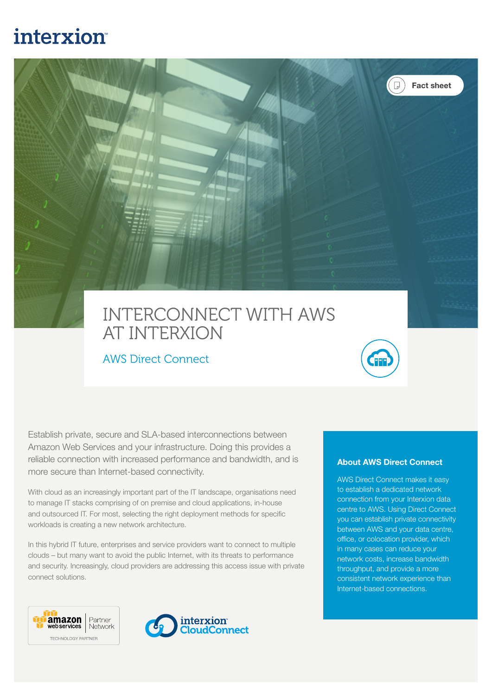# interxion



## INTERCONNECT WITH AWS AT INTERXION

### AWS Direct Connect



Establish private, secure and SLA-based interconnections between Amazon Web Services and your infrastructure. Doing this provides a reliable connection with increased performance and bandwidth, and is more secure than Internet-based connectivity.

With cloud as an increasingly important part of the IT landscape, organisations need to manage IT stacks comprising of on premise and cloud applications, in-house and outsourced IT. For most, selecting the right deployment methods for specific workloads is creating a new network architecture.

In this hybrid IT future, enterprises and service providers want to connect to multiple clouds – but many want to avoid the public Internet, with its threats to performance and security. Increasingly, cloud providers are addressing this access issue with private connect solutions.





#### About AWS Direct Connect

AWS Direct Connect makes it easy to establish a dedicated network connection from your Interxion data centre to AWS. Using Direct Connect you can establish private connectivity between AWS and your data centre, office, or colocation provider, which in many cases can reduce your network costs, increase bandwidth throughput, and provide a more consistent network experience than Internet-based connections.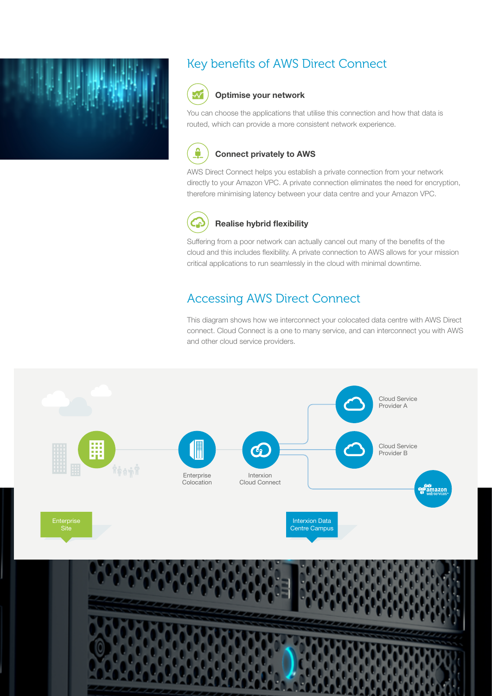

### Key benefits of AWS Direct Connect



#### Optimise your network

You can choose the applications that utilise this connection and how that data is routed, which can provide a more consistent network experience.



#### Connect privately to AWS

AWS Direct Connect helps you establish a private connection from your network directly to your Amazon VPC. A private connection eliminates the need for encryption, therefore minimising latency between your data centre and your Amazon VPC.



#### Realise hybrid flexibility

Suffering from a poor network can actually cancel out many of the benefits of the cloud and this includes flexibility. A private connection to AWS allows for your mission critical applications to run seamlessly in the cloud with minimal downtime.

### Accessing AWS Direct Connect

This diagram shows how we interconnect your colocated data centre with AWS Direct connect. Cloud Connect is a one to many service, and can interconnect you with AWS and other cloud service providers.

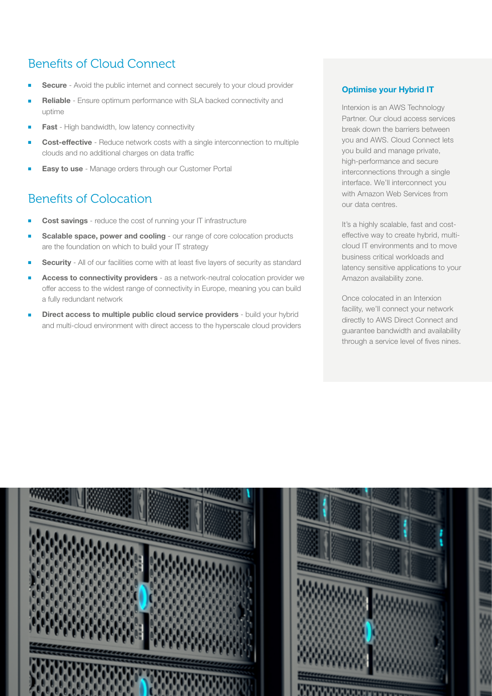### Benefits of Cloud Connect

- Secure Avoid the public internet and connect securely to your cloud provider
- Reliable Ensure optimum performance with SLA backed connectivity and uptime
- Fast High bandwidth, low latency connectivity
- Cost-effective Reduce network costs with a single interconnection to multiple clouds and no additional charges on data traffic
- **Easy to use Manage orders through our Customer Portal**

### Benefits of Colocation

- Cost savings reduce the cost of running your IT infrastructure
- Scalable space, power and cooling our range of core colocation products are the foundation on which to build your IT strategy
- **Security** All of our facilities come with at least five layers of security as standard
- Access to connectivity providers as a network-neutral colocation provider we offer access to the widest range of connectivity in Europe, meaning you can build a fully redundant network
- Direct access to multiple public cloud service providers build your hybrid and multi-cloud environment with direct access to the hyperscale cloud providers

#### Optimise your Hybrid IT

Interxion is an AWS Technology Partner. Our cloud access services break down the barriers between you and AWS. Cloud Connect lets you build and manage private, high-performance and secure interconnections through a single interface. We'll interconnect you with Amazon Web Services from our data centres.

It's a highly scalable, fast and costeffective way to create hybrid, multicloud IT environments and to move business critical workloads and latency sensitive applications to your Amazon availability zone.

Once colocated in an Interxion facility, we'll connect your network directly to AWS Direct Connect and guarantee bandwidth and availability through a service level of fives nines.